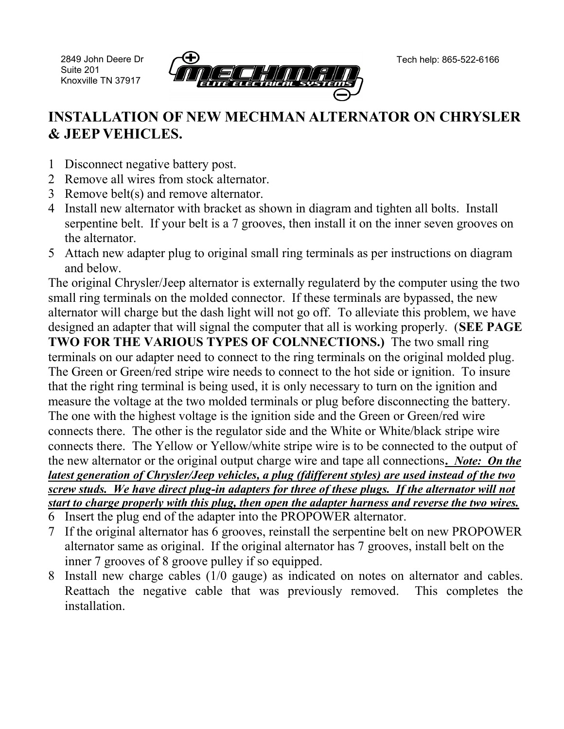2849 John Deere Dr Suite 201 Knoxville TN 37917



## **INSTALLATION OF NEW MECHMAN ALTERNATOR ON CHRYSLER & JEEP VEHICLES.**

- 1 Disconnect negative battery post.
- 2 Remove all wires from stock alternator.
- 3 Remove belt(s) and remove alternator.
- 4 Install new alternator with bracket as shown in diagram and tighten all bolts. Install serpentine belt. If your belt is a 7 grooves, then install it on the inner seven grooves on the alternator.
- 5 Attach new adapter plug to original small ring terminals as per instructions on diagram and below.

The original Chrysler/Jeep alternator is externally regulaterd by the computer using the two small ring terminals on the molded connector. If these terminals are bypassed, the new alternator will charge but the dash light will not go off. To alleviate this problem, we have designed an adapter that will signal the computer that all is working properly. (**SEE PAGE TWO FOR THE VARIOUS TYPES OF COLNNECTIONS.)** The two small ring terminals on our adapter need to connect to the ring terminals on the original molded plug. The Green or Green/red stripe wire needs to connect to the hot side or ignition. To insure that the right ring terminal is being used, it is only necessary to turn on the ignition and measure the voltage at the two molded terminals or plug before disconnecting the battery. The one with the highest voltage is the ignition side and the Green or Green/red wire connects there. The other is the regulator side and the White or White/black stripe wire connects there. The Yellow or Yellow/white stripe wire is to be connected to the output of the new alternator or the original output charge wire and tape all connections**.** *Note: On the latest generation of Chrysler/Jeep vehicles, a plug (fdifferent styles) are used instead of the two screw studs. We have direct plug-in adapters for three of these plugs. If the alternator will not start to charge properly with this plug, then open the adapter harness and reverse the two wires.* 

- 6 Insert the plug end of the adapter into the PROPOWER alternator.
- 7 If the original alternator has 6 grooves, reinstall the serpentine belt on new PROPOWER alternator same as original. If the original alternator has 7 grooves, install belt on the inner 7 grooves of 8 groove pulley if so equipped.
- 8 Install new charge cables (1/0 gauge) as indicated on notes on alternator and cables. Reattach the negative cable that was previously removed. This completes the installation.